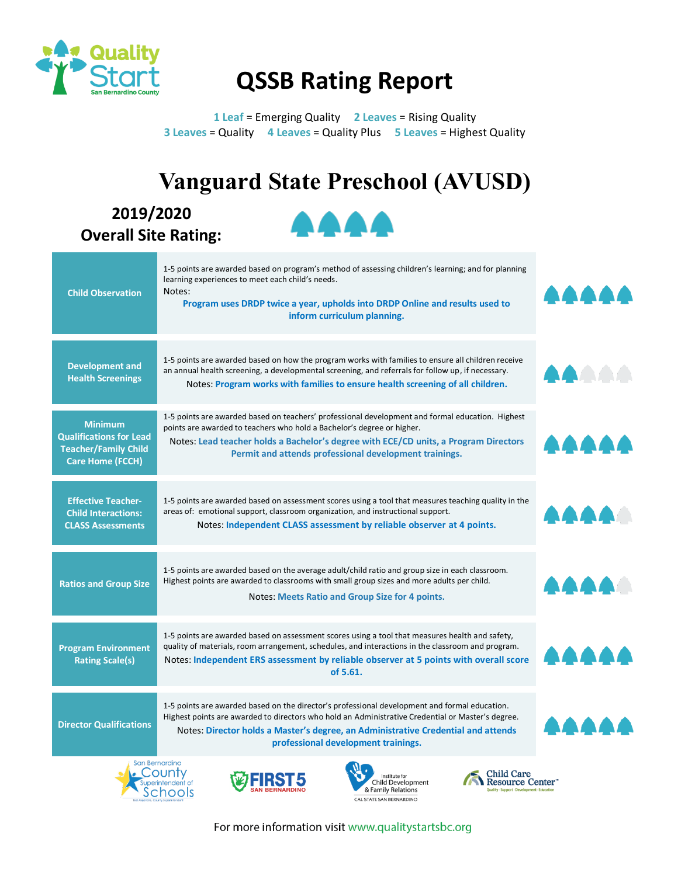

## **QSSB Rating Report**

**1 Leaf** = Emerging Quality **2 Leaves** = Rising Quality **3 Leaves** = Quality **4 Leaves** = Quality Plus **5 Leaves** = Highest Quality

## **Vanguard State Preschool (AVUSD)**

**2019/2020 Overall Site Rating:** 



| 1-5 points are awarded based on program's method of assessing children's learning; and for planning<br>learning experiences to meet each child's needs.<br>Notes:<br>Program uses DRDP twice a year, upholds into DRDP Online and results used to<br>inform curriculum planning.                                               | AAAAA                 |
|--------------------------------------------------------------------------------------------------------------------------------------------------------------------------------------------------------------------------------------------------------------------------------------------------------------------------------|-----------------------|
| 1-5 points are awarded based on how the program works with families to ensure all children receive<br>an annual health screening, a developmental screening, and referrals for follow up, if necessary.<br>Notes: Program works with families to ensure health screening of all children.                                      | AAAA                  |
| 1-5 points are awarded based on teachers' professional development and formal education. Highest<br>points are awarded to teachers who hold a Bachelor's degree or higher.<br>Notes: Lead teacher holds a Bachelor's degree with ECE/CD units, a Program Directors<br>Permit and attends professional development trainings.   | AAAA                  |
| 1-5 points are awarded based on assessment scores using a tool that measures teaching quality in the<br>areas of: emotional support, classroom organization, and instructional support.<br>Notes: Independent CLASS assessment by reliable observer at 4 points.                                                               | AAAA                  |
| 1-5 points are awarded based on the average adult/child ratio and group size in each classroom.<br>Highest points are awarded to classrooms with small group sizes and more adults per child.<br><b>Notes: Meets Ratio and Group Size for 4 points.</b>                                                                        | AAAA                  |
| 1-5 points are awarded based on assessment scores using a tool that measures health and safety,<br>quality of materials, room arrangement, schedules, and interactions in the classroom and program.<br>Notes: Independent ERS assessment by reliable observer at 5 points with overall score<br>of 5.61.                      | AAAA                  |
| 1-5 points are awarded based on the director's professional development and formal education.<br>Highest points are awarded to directors who hold an Administrative Credential or Master's degree.<br>Notes: Director holds a Master's degree, an Administrative Credential and attends<br>professional development trainings. | AAAA                  |
|                                                                                                                                                                                                                                                                                                                                | San Bernardino<br>n a |









For more information visit www.qualitystartsbc.org